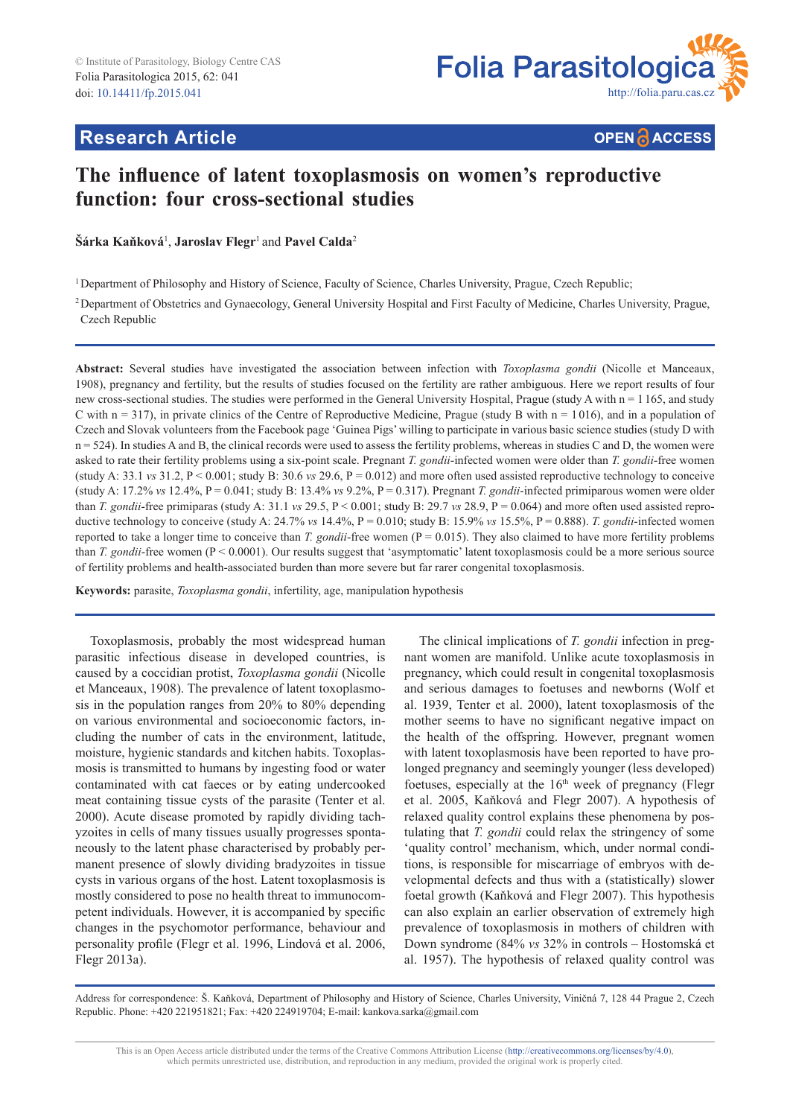

# **Research Article**

**OPEN A ACCESS** 

# **The influence of latent toxoplasmosis on women's reproductive function: four cross-sectional studies**

 $\check{\mathbf{S}}$ árka Kaňková<sup>1</sup>, Jaroslav Flegr<sup>1</sup> and Pavel Calda<sup>2</sup>

<sup>1</sup>Department of Philosophy and History of Science, Faculty of Science, Charles University, Prague, Czech Republic;

2Department of Obstetrics and Gynaecology, General University Hospital and First Faculty of Medicine, Charles University, Prague, Czech Republic

**Abstract:** Several studies have investigated the association between infection with *Toxoplasma gondii* (Nicolle et Manceaux, 1908), pregnancy and fertility, but the results of studies focused on the fertility are rather ambiguous. Here we report results of four new cross-sectional studies. The studies were performed in the General University Hospital, Prague (study A with n = 1 165, and study C with  $n = 317$ ), in private clinics of the Centre of Reproductive Medicine, Prague (study B with  $n = 1016$ ), and in a population of Czech and Slovak volunteers from the Facebook page 'Guinea Pigs' willing to participate in various basic science studies (study D with  $n = 524$ ). In studies A and B, the clinical records were used to assess the fertility problems, whereas in studies C and D, the women were asked to rate their fertility problems using a six-point scale. Pregnant *T. gondii*-infected women were older than *T. gondii*-free women (study A: 33.1 *vs* 31.2,  $P < 0.001$ ; study B: 30.6 *vs* 29.6,  $P = 0.012$ ) and more often used assisted reproductive technology to conceive (study A:  $17.2\%$  *vs*  $12.4\%$ ,  $P = 0.041$ ; study B:  $13.4\%$  *vs*  $9.2\%$ ,  $P = 0.317$ ). Pregnant *T. gondii*-infected primiparous women were older than *T. gondii*-free primiparas (study A: 31.1 *vs* 29.5,  $P \le 0.001$ ; study B: 29.7 *vs* 28.9,  $P = 0.064$ ) and more often used assisted reproductive technology to conceive (study A: 24.7% *vs* 14.4%, P = 0.010; study B: 15.9% *vs* 15.5%, P = 0.888). *T. gondii*-infected women reported to take a longer time to conceive than *T. gondii*-free women (P = 0.015). They also claimed to have more fertility problems than *T. gondii*-free women (P < 0.0001). Our results suggest that 'asymptomatic' latent toxoplasmosis could be a more serious source of fertility problems and health-associated burden than more severe but far rarer congenital toxoplasmosis.

**Keywords:** parasite, *Toxoplasma gondii*, infertility, age, manipulation hypothesis

Toxoplasmosis, probably the most widespread human parasitic infectious disease in developed countries, is caused by a coccidian protist, *Toxoplasma gondii* (Nicolle et Manceaux, 1908). The prevalence of latent toxoplasmosis in the population ranges from 20% to 80% depending on various environmental and socioeconomic factors, including the number of cats in the environment, latitude, moisture, hygienic standards and kitchen habits. Toxoplasmosis is transmitted to humans by ingesting food or water contaminated with cat faeces or by eating undercooked meat containing tissue cysts of the parasite (Tenter et al. 2000). Acute disease promoted by rapidly dividing tachyzoites in cells of many tissues usually progresses spontaneously to the latent phase characterised by probably permanent presence of slowly dividing bradyzoites in tissue cysts in various organs of the host. Latent toxoplasmosis is mostly considered to pose no health threat to immunocompetent individuals. However, it is accompanied by specific changes in the psychomotor performance, behaviour and personality profile (Flegr et al. 1996, Lindová et al. 2006, Flegr 2013a).

The clinical implications of *T. gondii* infection in pregnant women are manifold. Unlike acute toxoplasmosis in pregnancy, which could result in congenital toxoplasmosis and serious damages to foetuses and newborns (Wolf et al. 1939, Tenter et al. 2000), latent toxoplasmosis of the mother seems to have no significant negative impact on the health of the offspring. However, pregnant women with latent toxoplasmosis have been reported to have prolonged pregnancy and seemingly younger (less developed) foetuses, especially at the  $16<sup>th</sup>$  week of pregnancy (Flegr et al. 2005, Kaňková and Flegr 2007). A hypothesis of relaxed quality control explains these phenomena by postulating that *T. gondii* could relax the stringency of some 'quality control' mechanism, which, under normal conditions, is responsible for miscarriage of embryos with developmental defects and thus with a (statistically) slower foetal growth (Kaňková and Flegr 2007). This hypothesis can also explain an earlier observation of extremely high prevalence of toxoplasmosis in mothers of children with Down syndrome (84% *vs* 32% in controls – Hostomská et al. 1957). The hypothesis of relaxed quality control was

Address for correspondence: Š. Kaňková, Department of Philosophy and History of Science, Charles University, Viničná 7, 128 44 Prague 2, Czech Republic. Phone: +420 221951821; Fax: +420 224919704; E-mail: kankova.sarka@gmail.com

This is an Open Access article distributed under the terms of the Creative Commons Attribution License (http://creativecommons.org/licenses/by/4.0), which permits unrestricted use, distribution, and reproduction in any medium, provided the original work is properly cited.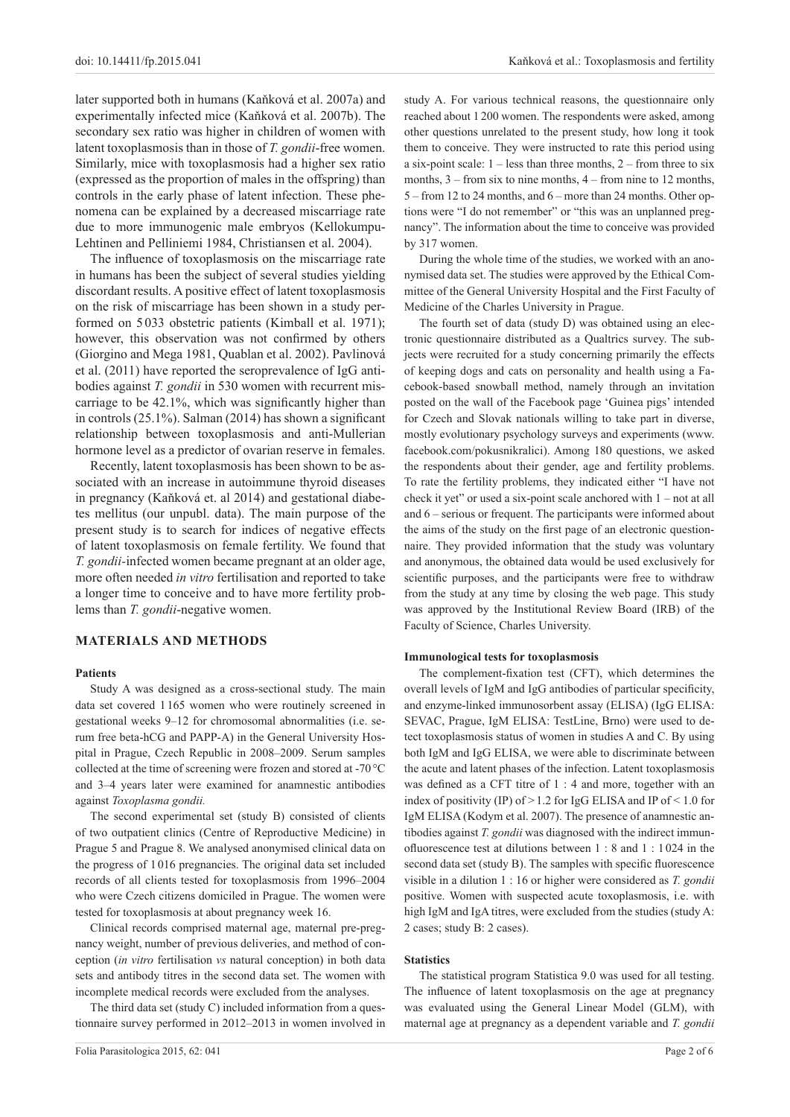later supported both in humans (Kaňková et al. 2007a) and experimentally infected mice (Kaňková et al. 2007b). The secondary sex ratio was higher in children of women with latent toxoplasmosis than in those of *T. gondii*-free women. Similarly, mice with toxoplasmosis had a higher sex ratio (expressed as the proportion of males in the offspring) than controls in the early phase of latent infection. These phenomena can be explained by a decreased miscarriage rate due to more immunogenic male embryos (Kellokumpu-Lehtinen and Pelliniemi 1984, Christiansen et al. 2004).

The influence of toxoplasmosis on the miscarriage rate in humans has been the subject of several studies yielding discordant results. A positive effect of latent toxoplasmosis on the risk of miscarriage has been shown in a study performed on 5 033 obstetric patients (Kimball et al. 1971); however, this observation was not confirmed by others (Giorgino and Mega 1981, Quablan et al. 2002). Pavlinová et al. (2011) have reported the seroprevalence of IgG antibodies against *T. gondii* in 530 women with recurrent miscarriage to be 42.1%, which was significantly higher than in controls (25.1%). Salman (2014) has shown a significant relationship between toxoplasmosis and anti-Mullerian hormone level as a predictor of ovarian reserve in females.

Recently, latent toxoplasmosis has been shown to be associated with an increase in autoimmune thyroid diseases in pregnancy (Kaňková et. al 2014) and gestational diabetes mellitus (our unpubl. data). The main purpose of the present study is to search for indices of negative effects of latent toxoplasmosis on female fertility. We found that *T. gondii-*infected women became pregnant at an older age, more often needed *in vitro* fertilisation and reported to take a longer time to conceive and to have more fertility problems than *T. gondii*-negative women.

## **MATERIALS AND METHODS**

# **Patients**

Study A was designed as a cross-sectional study. The main data set covered 1165 women who were routinely screened in gestational weeks 9–12 for chromosomal abnormalities (i.e. serum free beta-hCG and PAPP-A) in the General University Hospital in Prague, Czech Republic in 2008–2009. Serum samples collected at the time of screening were frozen and stored at -70 °C and 3–4 years later were examined for anamnestic antibodies against *Toxoplasma gondii.*

The second experimental set (study B) consisted of clients of two outpatient clinics (Centre of Reproductive Medicine) in Prague 5 and Prague 8. We analysed anonymised clinical data on the progress of 1016 pregnancies. The original data set included records of all clients tested for toxoplasmosis from 1996–2004 who were Czech citizens domiciled in Prague. The women were tested for toxoplasmosis at about pregnancy week 16.

Clinical records comprised maternal age, maternal pre-pregnancy weight, number of previous deliveries, and method of conception (*in vitro* fertilisation *vs* natural conception) in both data sets and antibody titres in the second data set. The women with incomplete medical records were excluded from the analyses.

The third data set (study C) included information from a questionnaire survey performed in 2012–2013 in women involved in study A. For various technical reasons, the questionnaire only reached about 1200 women. The respondents were asked, among other questions unrelated to the present study, how long it took them to conceive. They were instructed to rate this period using a six-point scale:  $1 -$  less than three months,  $2 -$  from three to six months, 3 – from six to nine months, 4 – from nine to 12 months, 5 – from 12 to 24 months, and 6 – more than 24 months. Other options were "I do not remember" or "this was an unplanned pregnancy". The information about the time to conceive was provided by 317 women.

During the whole time of the studies, we worked with an anonymised data set. The studies were approved by the Ethical Committee of the General University Hospital and the First Faculty of Medicine of the Charles University in Prague.

The fourth set of data (study D) was obtained using an electronic questionnaire distributed as a Qualtrics survey. The subjects were recruited for a study concerning primarily the effects of keeping dogs and cats on personality and health using a Facebook-based snowball method, namely through an invitation posted on the wall of the Facebook page 'Guinea pigs' intended for Czech and Slovak nationals willing to take part in diverse, mostly evolutionary psychology surveys and experiments (www. facebook.com/pokusnikralici). Among 180 questions, we asked the respondents about their gender, age and fertility problems. To rate the fertility problems, they indicated either "I have not check it yet" or used a six-point scale anchored with 1 – not at all and 6 – serious or frequent. The participants were informed about the aims of the study on the first page of an electronic questionnaire. They provided information that the study was voluntary and anonymous, the obtained data would be used exclusively for scientific purposes, and the participants were free to withdraw from the study at any time by closing the web page. This study was approved by the Institutional Review Board (IRB) of the Faculty of Science, Charles University.

#### **Immunological tests for toxoplasmosis**

The complement-fixation test (CFT), which determines the overall levels of IgM and IgG antibodies of particular specificity, and enzyme-linked immunosorbent assay (ELISA) (IgG ELISA: SEVAC, Prague, IgM ELISA: TestLine, Brno) were used to detect toxoplasmosis status of women in studies A and C. By using both IgM and IgG ELISA, we were able to discriminate between the acute and latent phases of the infection. Latent toxoplasmosis was defined as a CFT titre of 1 : 4 and more, together with an index of positivity (IP) of  $>1.2$  for IgG ELISA and IP of  $< 1.0$  for IgM ELISA (Kodym et al. 2007). The presence of anamnestic antibodies against *T. gondii* was diagnosed with the indirect immunofluorescence test at dilutions between 1 : 8 and 1 : 1 024 in the second data set (study B). The samples with specific fluorescence visible in a dilution 1 : 16 or higher were considered as *T. gondii* positive. Women with suspected acute toxoplasmosis, i.e. with high IgM and IgA titres, were excluded from the studies (study A: 2 cases; study B: 2 cases).

#### **Statistics**

The statistical program Statistica 9.0 was used for all testing. The influence of latent toxoplasmosis on the age at pregnancy was evaluated using the General Linear Model (GLM), with maternal age at pregnancy as a dependent variable and *T. gondii*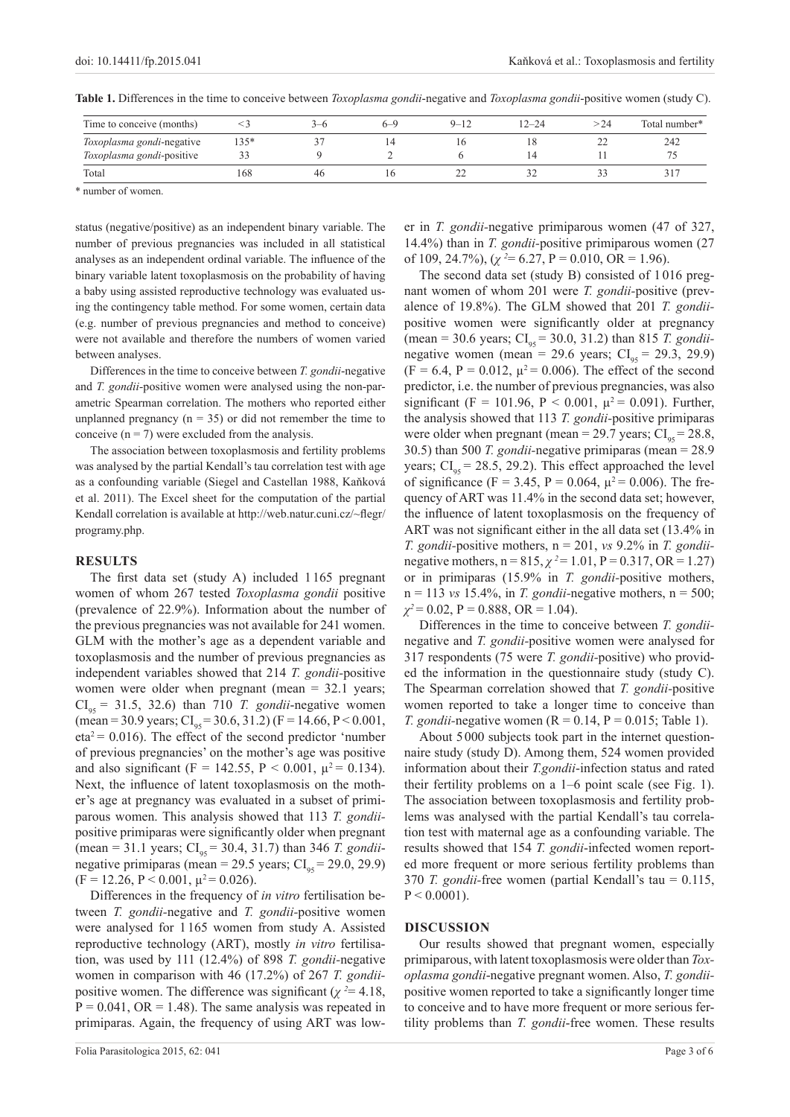| Time to conceive (months) |        |    | h—' | $9 - 12$ | $12 - 24$ |   | Total number* |
|---------------------------|--------|----|-----|----------|-----------|---|---------------|
| Toxoplasma gondi-negative | $135*$ |    |     |          | LΟ        | ∸ | 242           |
| Toxoplasma gondi-positive |        |    |     |          |           |   |               |
| Total                     | 168    | 46 |     |          |           |   |               |

**Table 1.** Differences in the time to conceive between *Toxoplasma gondii*-negative and *Toxoplasma gondii*-positive women (study C).

\* number of women.

status (negative/positive) as an independent binary variable. The number of previous pregnancies was included in all statistical analyses as an independent ordinal variable. The influence of the binary variable latent toxoplasmosis on the probability of having a baby using assisted reproductive technology was evaluated using the contingency table method. For some women, certain data (e.g. number of previous pregnancies and method to conceive) were not available and therefore the numbers of women varied between analyses.

Differences in the time to conceive between *T. gondii*-negative and *T. gondii-*positive women were analysed using the non-parametric Spearman correlation. The mothers who reported either unplanned pregnancy  $(n = 35)$  or did not remember the time to conceive  $(n = 7)$  were excluded from the analysis.

The association between toxoplasmosis and fertility problems was analysed by the partial Kendall's tau correlation test with age as a confounding variable (Siegel and Castellan 1988, Kaňková et al. 2011). The Excel sheet for the computation of the partial Kendall correlation is available at http://web.natur.cuni.cz/~flegr/ programy.php.

## **RESULTS**

The first data set (study A) included 1 165 pregnant women of whom 267 tested *Toxoplasma gondii* positive (prevalence of 22.9%). Information about the number of the previous pregnancies was not available for 241 women. GLM with the mother's age as a dependent variable and toxoplasmosis and the number of previous pregnancies as independent variables showed that 214 *T. gondii-*positive women were older when pregnant (mean = 32.1 years;  $CI_{95} = 31.5, 32.6$ ) than 710 *T. gondii*-negative women (mean = 30.9 years;  $CI_{0.5} = 30.6$ , 31.2) (F = 14.66, P < 0.001,  $eta^2 = 0.016$ ). The effect of the second predictor 'number of previous pregnancies' on the mother's age was positive and also significant (F = 142.55, P < 0.001,  $\mu^2$  = 0.134). Next, the influence of latent toxoplasmosis on the mother's age at pregnancy was evaluated in a subset of primiparous women. This analysis showed that 113 *T. gondii*positive primiparas were significantly older when pregnant (mean = 31.1 years; CI<sub>95</sub> = 30.4, 31.7) than 346 *T. gondii*negative primiparas (mean = 29.5 years;  $CI_{95} = 29.0, 29.9$ )  $(F = 12.26, P < 0.001, \mu^2 = 0.026).$ 

Differences in the frequency of *in vitro* fertilisation between *T. gondii-*negative and *T. gondii-*positive women were analysed for 1 165 women from study A. Assisted reproductive technology (ART), mostly *in vitro* fertilisation, was used by 111 (12.4%) of 898 *T. gondii-*negative women in comparison with 46 (17.2%) of 267 *T. gondii*positive women. The difference was significant ( $\chi^2$  = 4.18,  $P = 0.041$ ,  $OR = 1.48$ ). The same analysis was repeated in primiparas. Again, the frequency of using ART was lower in *T. gondii-*negative primiparous women (47 of 327, 14.4%) than in *T. gondii-*positive primiparous women (27 of 109, 24.7%),  $(\chi^2 = 6.27, P = 0.010, OR = 1.96)$ .

The second data set (study B) consisted of 1 016 pregnant women of whom 201 were *T. gondii-*positive (prevalence of 19.8%). The GLM showed that 201 *T. gondii*positive women were significantly older at pregnancy  $(\text{mean} = 30.6 \text{ years}; \text{CI}_{\text{gs}} = 30.0, 31.2) \text{ than } 815 \text{ T. } \text{gondii}$ negative women (mean = 29.6 years;  $CI_{\text{gs}} = 29.3, 29.9$ )  $(F = 6.4, P = 0.012, \mu^2 = 0.006)$ . The effect of the second predictor, i.e. the number of previous pregnancies, was also significant (F = 101.96, P < 0.001,  $\mu^2$  = 0.091). Further, the analysis showed that 113 *T. gondii-*positive primiparas were older when pregnant (mean = 29.7 years;  $CI_{0.5} = 28.8$ , 30.5) than 500 *T. gondii-*negative primiparas (mean = 28.9 years;  $CI_{.05} = 28.5, 29.2$ ). This effect approached the level of significance (F = 3.45, P = 0.064,  $\mu^2$  = 0.006). The frequency of ART was 11.4% in the second data set; however, the influence of latent toxoplasmosis on the frequency of ART was not significant either in the all data set (13.4% in *T. gondii-*positive mothers, n = 201, *vs* 9.2% in *T. gondii*negative mothers,  $n = 815$ ,  $\chi^2 = 1.01$ ,  $P = 0.317$ ,  $OR = 1.27$ ) or in primiparas (15.9% in *T. gondii-*positive mothers,  $n = 113$  *vs* 15.4%, in *T. gondii*-negative mothers,  $n = 500$ ;  $\chi^2$  = 0.02, P = 0.888, OR = 1.04).

Differences in the time to conceive between *T. gondii*negative and *T. gondii-*positive women were analysed for 317 respondents (75 were *T. gondii-*positive) who provided the information in the questionnaire study (study C). The Spearman correlation showed that *T. gondii-*positive women reported to take a longer time to conceive than *T.* gondii-negative women  $(R = 0.14, P = 0.015;$  Table 1).

About 5 000 subjects took part in the internet questionnaire study (study D). Among them, 524 women provided information about their *T.gondii*-infection status and rated their fertility problems on a 1–6 point scale (see Fig. 1). The association between toxoplasmosis and fertility problems was analysed with the partial Kendall's tau correlation test with maternal age as a confounding variable. The results showed that 154 *T. gondii*-infected women reported more frequent or more serious fertility problems than 370 *T. gondii-*free women (partial Kendall's tau = 0.115,  $P < 0.0001$ ).

#### **DISCUSSION**

Our results showed that pregnant women, especially primiparous, with latent toxoplasmosis were older than *Toxoplasma gondii*-negative pregnant women. Also, *T. gondii*positive women reported to take a significantly longer time to conceive and to have more frequent or more serious fertility problems than *T. gondii*-free women. These results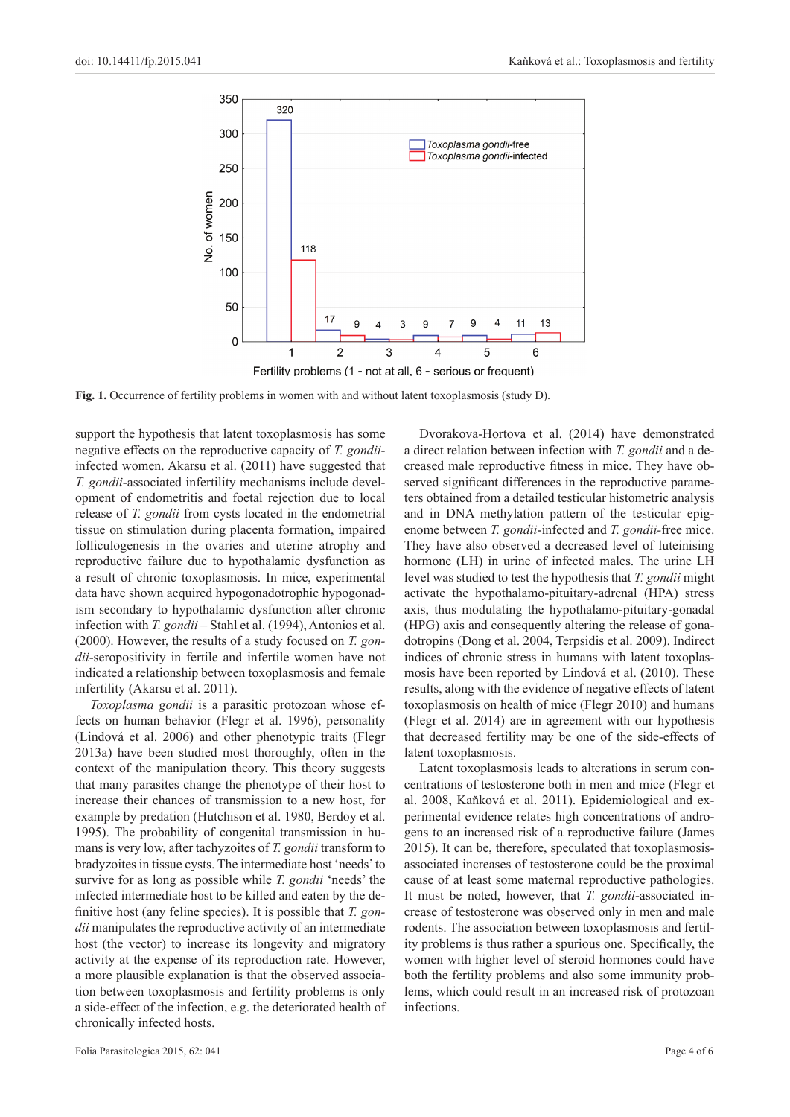

**Fig. 1.** Occurrence of fertility problems in women with and without latent toxoplasmosis (study D).

support the hypothesis that latent toxoplasmosis has some negative effects on the reproductive capacity of *T. gondii*infected women. Akarsu et al. (2011) have suggested that *T. gondii*-associated infertility mechanisms include development of endometritis and foetal rejection due to local release of *T. gondii* from cysts located in the endometrial tissue on stimulation during placenta formation, impaired folliculogenesis in the ovaries and uterine atrophy and reproductive failure due to hypothalamic dysfunction as a result of chronic toxoplasmosis. In mice, experimental data have shown acquired hypogonadotrophic hypogonadism secondary to hypothalamic dysfunction after chronic infection with *T. gondii* – Stahl et al. (1994), Antonios et al. (2000). However, the results of a study focused on *T. gondii*-seropositivity in fertile and infertile women have not indicated a relationship between toxoplasmosis and female infertility (Akarsu et al. 2011).

*Toxoplasma gondii* is a parasitic protozoan whose effects on human behavior (Flegr et al. 1996), personality (Lindová et al. 2006) and other phenotypic traits (Flegr 2013a) have been studied most thoroughly, often in the context of the manipulation theory. This theory suggests that many parasites change the phenotype of their host to increase their chances of transmission to a new host, for example by predation (Hutchison et al. 1980, Berdoy et al. 1995). The probability of congenital transmission in humans is very low, after tachyzoites of *T. gondii* transform to bradyzoites in tissue cysts. The intermediate host 'needs' to survive for as long as possible while *T. gondii* 'needs' the infected intermediate host to be killed and eaten by the definitive host (any feline species). It is possible that *T. gondii* manipulates the reproductive activity of an intermediate host (the vector) to increase its longevity and migratory activity at the expense of its reproduction rate. However, a more plausible explanation is that the observed association between toxoplasmosis and fertility problems is only a side-effect of the infection, e.g. the deteriorated health of chronically infected hosts.

Dvorakova-Hortova et al. (2014) have demonstrated a direct relation between infection with *T. gondii* and a decreased male reproductive fitness in mice. They have observed significant differences in the reproductive parameters obtained from a detailed testicular histometric analysis and in DNA methylation pattern of the testicular epigenome between *T. gondii*-infected and *T. gondii-*free mice. They have also observed a decreased level of luteinising hormone (LH) in urine of infected males. The urine LH level was studied to test the hypothesis that *T. gondii* might activate the hypothalamo-pituitary-adrenal (HPA) stress axis, thus modulating the hypothalamo-pituitary-gonadal (HPG) axis and consequently altering the release of gonadotropins (Dong et al. 2004, Terpsidis et al. 2009). Indirect indices of chronic stress in humans with latent toxoplasmosis have been reported by Lindová et al. (2010). These results, along with the evidence of negative effects of latent toxoplasmosis on health of mice (Flegr 2010) and humans (Flegr et al. 2014) are in agreement with our hypothesis that decreased fertility may be one of the side-effects of latent toxoplasmosis.

Latent toxoplasmosis leads to alterations in serum concentrations of testosterone both in men and mice (Flegr et al. 2008, Kaňková et al. 2011). Epidemiological and experimental evidence relates high concentrations of androgens to an increased risk of a reproductive failure (James 2015). It can be, therefore, speculated that toxoplasmosisassociated increases of testosterone could be the proximal cause of at least some maternal reproductive pathologies. It must be noted, however, that *T. gondii*-associated increase of testosterone was observed only in men and male rodents. The association between toxoplasmosis and fertility problems is thus rather a spurious one. Specifically, the women with higher level of steroid hormones could have both the fertility problems and also some immunity problems, which could result in an increased risk of protozoan infections.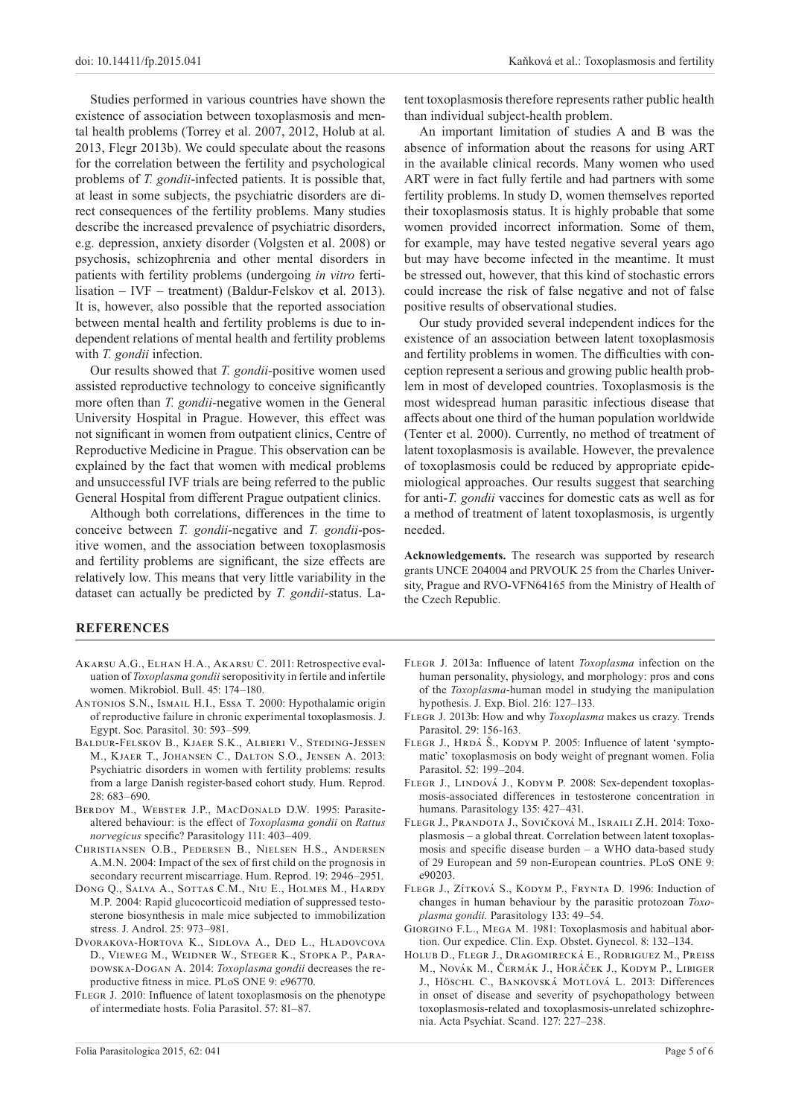Studies performed in various countries have shown the existence of association between toxoplasmosis and mental health problems (Torrey et al. 2007, 2012, Holub at al. 2013, Flegr 2013b). We could speculate about the reasons for the correlation between the fertility and psychological problems of *T. gondii*-infected patients. It is possible that, at least in some subjects, the psychiatric disorders are direct consequences of the fertility problems. Many studies describe the increased prevalence of psychiatric disorders, e.g. depression, anxiety disorder (Volgsten et al. 2008) or psychosis, schizophrenia and other mental disorders in patients with fertility problems (undergoing *in vitro* fertilisation – IVF – treatment) (Baldur-Felskov et al. 2013). It is, however, also possible that the reported association between mental health and fertility problems is due to independent relations of mental health and fertility problems with *T. gondii* infection.

Our results showed that *T. gondii*-positive women used assisted reproductive technology to conceive significantly more often than *T. gondii*-negative women in the General University Hospital in Prague. However, this effect was not significant in women from outpatient clinics, Centre of Reproductive Medicine in Prague. This observation can be explained by the fact that women with medical problems and unsuccessful IVF trials are being referred to the public General Hospital from different Prague outpatient clinics.

Although both correlations, differences in the time to conceive between *T. gondii*-negative and *T. gondii*-positive women, and the association between toxoplasmosis and fertility problems are significant, the size effects are relatively low. This means that very little variability in the dataset can actually be predicted by *T. gondii*-status. Latent toxoplasmosis therefore represents rather public health than individual subject-health problem.

An important limitation of studies A and B was the absence of information about the reasons for using ART in the available clinical records. Many women who used ART were in fact fully fertile and had partners with some fertility problems. In study D, women themselves reported their toxoplasmosis status. It is highly probable that some women provided incorrect information. Some of them, for example, may have tested negative several years ago but may have become infected in the meantime. It must be stressed out, however, that this kind of stochastic errors could increase the risk of false negative and not of false positive results of observational studies.

Our study provided several independent indices for the existence of an association between latent toxoplasmosis and fertility problems in women. The difficulties with conception represent a serious and growing public health problem in most of developed countries. Toxoplasmosis is the most widespread human parasitic infectious disease that affects about one third of the human population worldwide (Tenter et al. 2000). Currently, no method of treatment of latent toxoplasmosis is available. However, the prevalence of toxoplasmosis could be reduced by appropriate epidemiological approaches. Our results suggest that searching for anti-*T. gondii* vaccines for domestic cats as well as for a method of treatment of latent toxoplasmosis, is urgently needed.

**Acknowledgements.** The research was supported by research grants UNCE 204004 and PRVOUK 25 from the Charles University, Prague and RVO-VFN64165 from the Ministry of Health of the Czech Republic.

# **REFERENCES**

- Akarsu A.G., Elhan H.A., Akarsu C. 2011: Retrospective evaluation of *Toxoplasma gondii* seropositivity in fertile and infertile women. Mikrobiol. Bull. 45: 174–180.
- Antonios S.N., Ismail H.I., Essa T. 2000: Hypothalamic origin of reproductive failure in chronic experimental toxoplasmosis. J. Egypt. Soc. Parasitol. 30: 593–599.
- Baldur-Felskov B., Kjaer S.K., Albieri V., Steding-Jessen M., Kjaer T., Johansen C., Dalton S.O., Jensen A. 2013: Psychiatric disorders in women with fertility problems: results from a large Danish register-based cohort study. Hum. Reprod. 28: 683–690.
- Berdoy M., Webster J.P., MacDonald D.W. 1995: Parasitealtered behaviour: is the effect of *Toxoplasma gondii* on *Rattus norvegicus* specific? Parasitology 111: 403–409.
- Christiansen O.B., Pedersen B., Nielsen H.S., Andersen A.M.N. 2004: Impact of the sex of first child on the prognosis in secondary recurrent miscarriage. Hum. Reprod. 19: 2946–2951.
- Dong Q., Salva A., Sottas C.M., Niu E., Holmes M., Hardy M.P. 2004: Rapid glucocorticoid mediation of suppressed testosterone biosynthesis in male mice subjected to immobilization stress. J. Androl. 25: 973–981.
- Dvorakova-Hortova K., Sidlova A., Ded L., Hladovcova D., Vieweg M., Weidner W., Steger K., Stopka P., Paradowska-Dogan A. 2014: *Toxoplasma gondii* decreases the reproductive fitness in mice. PLoS ONE 9: e96770.
- FLEGR J. 2010: Influence of latent toxoplasmosis on the phenotype of intermediate hosts. Folia Parasitol. 57: 81–87.
- Flegr J. 2013a: Influence of latent *Toxoplasma* infection on the human personality, physiology, and morphology: pros and cons of the *Toxoplasma*-human model in studying the manipulation hypothesis. J. Exp. Biol. 216: 127–133.
- Flegr J. 2013b: How and why *Toxoplasma* makes us crazy. Trends Parasitol. 29: 156-163.
- FLEGR J., HRDÁ Š., KODYM P. 2005: Influence of latent 'symptomatic' toxoplasmosis on body weight of pregnant women. Folia Parasitol. 52: 199–204.
- FLEGR J., LINDOVÁ J., KODYM P. 2008: Sex-dependent toxoplasmosis-associated differences in testosterone concentration in humans. Parasitology 135: 427–431.
- Flegr J., Prandota J., Sovičková M., Israili Z.H. 2014: Toxoplasmosis – a global threat. Correlation between latent toxoplasmosis and specific disease burden – a WHO data-based study of 29 European and 59 non-European countries. PLoS ONE 9: e90203.
- FLEGR J., ZÍTKOVÁ S., KODYM P., FRYNTA D. 1996: Induction of changes in human behaviour by the parasitic protozoan *Toxoplasma gondii.* Parasitology 133: 49–54.
- Giorgino F.L., Mega M. 1981: Toxoplasmosis and habitual abortion. Our expedice. Clin. Exp. Obstet. Gynecol. 8: 132–134.
- Holub D., Flegr J., Dragomirecká E., Rodriguez M., Preiss M., Novák M., Čermák J., Horáček J., Kodym P., Libiger J., Höschl C., Bankovská Motlová L. 2013: Differences in onset of disease and severity of psychopathology between toxoplasmosis-related and toxoplasmosis-unrelated schizophrenia. Acta Psychiat. Scand. 127: 227–238.